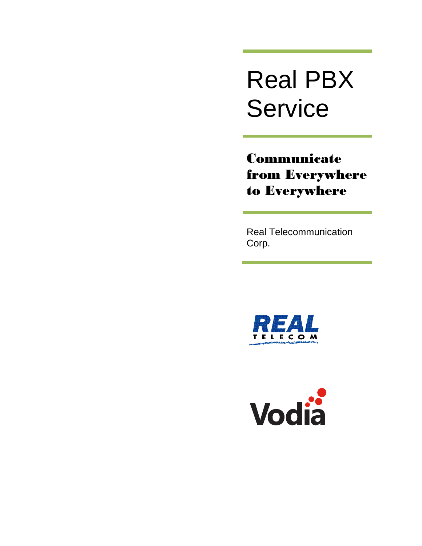# Real PBX **Service**

Communicate from Everywhere to Everywhere

Real Telecommunication Corp.



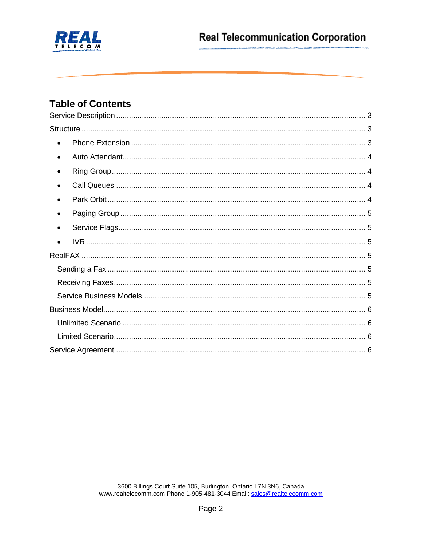

# **Table of Contents**

| $\bullet$ |
|-----------|
| $\bullet$ |
| $\bullet$ |
| ٠         |
| $\bullet$ |
|           |
|           |
|           |
|           |
|           |
|           |
|           |
|           |
|           |
|           |
|           |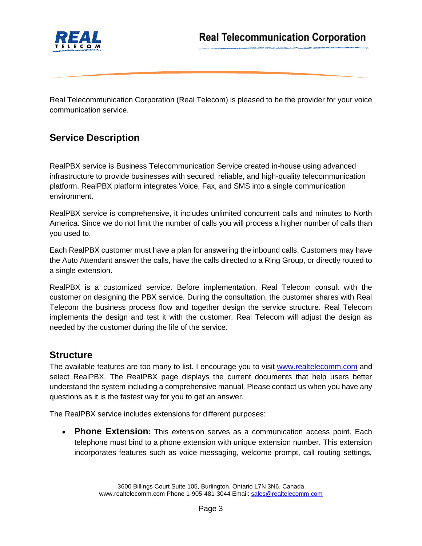

Real Telecommunication Corporation (Real Telecom) is pleased to be the provider for your voice communication service.

## <span id="page-2-0"></span>**Service Description**

RealPBX service is Business Telecommunication Service created in-house using advanced infrastructure to provide businesses with secured, reliable, and high-quality telecommunication platform. RealPBX platform integrates Voice, Fax, and SMS into a single communication environment.

RealPBX service is comprehensive, it includes unlimited concurrent calls and minutes to North America. Since we do not limit the number of calls you will process a higher number of calls than you used to.

Each RealPBX customer must have a plan for answering the inbound calls. Customers may have the Auto Attendant answer the calls, have the calls directed to a Ring Group, or directly routed to a single extension.

RealPBX is a customized service. Before implementation, Real Telecom consult with the customer on designing the PBX service. During the consultation, the customer shares with Real Telecom the business process flow and together design the service structure. Real Telecom implements the design and test it with the customer. Real Telecom will adjust the design as needed by the customer during the life of the service.

### <span id="page-2-1"></span>**Structure**

The available features are too many to list. I encourage you to visit [www.realtelecomm.com](http://www.realtelecomm.com/) and select RealPBX. The RealPBX page displays the current documents that help users better understand the system including a comprehensive manual. Please contact us when you have any questions as it is the fastest way for you to get an answer.

The RealPBX service includes extensions for different purposes:

<span id="page-2-2"></span>• **Phone Extension:** This extension serves as a communication access point. Each telephone must bind to a phone extension with unique extension number. This extension incorporates features such as voice messaging, welcome prompt, call routing settings,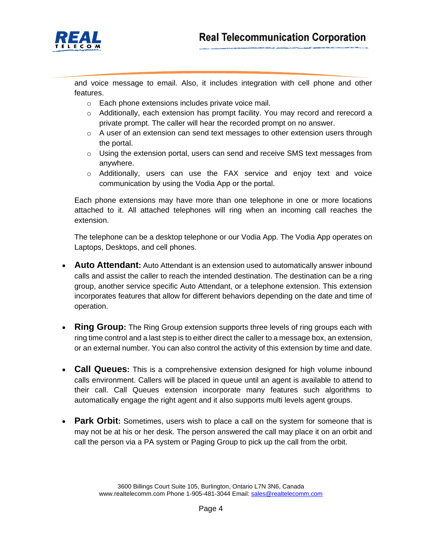

and voice message to email. Also, it includes integration with cell phone and other features.

- o Each phone extensions includes private voice mail.
- $\circ$  Additionally, each extension has prompt facility. You may record and rerecord a private prompt. The caller will hear the recorded prompt on no answer.
- $\circ$  A user of an extension can send text messages to other extension users through the portal.
- $\circ$  Using the extension portal, users can send and receive SMS text messages from anywhere.
- o Additionally, users can use the FAX service and enjoy text and voice communication by using the Vodia App or the portal.

Each phone extensions may have more than one telephone in one or more locations attached to it. All attached telephones will ring when an incoming call reaches the extension.

The telephone can be a desktop telephone or our Vodia App. The Vodia App operates on Laptops, Desktops, and cell phones.

- <span id="page-3-0"></span>• **Auto Attendant:** Auto Attendant is an extension used to automatically answer inbound calls and assist the caller to reach the intended destination. The destination can be a ring group, another service specific Auto Attendant, or a telephone extension. This extension incorporates features that allow for different behaviors depending on the date and time of operation.
- <span id="page-3-1"></span>• **Ring Group:** The Ring Group extension supports three levels of ring groups each with ring time control and a last step is to either direct the caller to a message box, an extension, or an external number. You can also control the activity of this extension by time and date.
- <span id="page-3-2"></span>• **Call Queues:** This is a comprehensive extension designed for high volume inbound calls environment. Callers will be placed in queue until an agent is available to attend to their call. Call Queues extension incorporate many features such algorithms to automatically engage the right agent and it also supports multi levels agent groups.
- <span id="page-3-3"></span>• **Park Orbit:** Sometimes, users wish to place a call on the system for someone that is may not be at his or her desk. The person answered the call may place it on an orbit and call the person via a PA system or Paging Group to pick up the call from the orbit.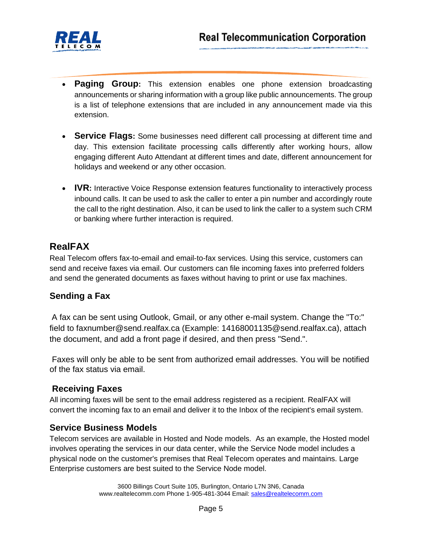

- <span id="page-4-0"></span>• **Paging Group:** This extension enables one phone extension broadcasting announcements or sharing information with a group like public announcements. The group is a list of telephone extensions that are included in any announcement made via this extension.
- <span id="page-4-1"></span>• **Service Flags:** Some businesses need different call processing at different time and day. This extension facilitate processing calls differently after working hours, allow engaging different Auto Attendant at different times and date, different announcement for holidays and weekend or any other occasion.
- <span id="page-4-2"></span>• **IVR:** Interactive Voice Response extension features functionality to interactively process inbound calls. It can be used to ask the caller to enter a pin number and accordingly route the call to the right destination. Also, it can be used to link the caller to a system such CRM or banking where further interaction is required.

# <span id="page-4-3"></span>**RealFAX**

Real Telecom offers fax-to-email and email-to-fax services. Using this service, customers can send and receive faxes via email. Our customers can file incoming faxes into preferred folders and send the generated documents as faxes without having to print or use fax machines.

### <span id="page-4-4"></span>**Sending a Fax**

A fax can be sent using Outlook, Gmail, or any other e-mail system. Change the "To:" field to faxnumber@send.realfax.ca (Example: 14168001135@send.realfax.ca), attach the document, and add a front page if desired, and then press "Send.".

Faxes will only be able to be sent from authorized email addresses. You will be notified of the fax status via email.

### <span id="page-4-5"></span>**Receiving Faxes**

All incoming faxes will be sent to the email address registered as a recipient. RealFAX will convert the incoming fax to an email and deliver it to the Inbox of the recipient's email system.

#### <span id="page-4-6"></span>**Service Business Models**

Telecom services are available in Hosted and Node models. As an example, the Hosted model involves operating the services in our data center, while the Service Node model includes a physical node on the customer's premises that Real Telecom operates and maintains. Large Enterprise customers are best suited to the Service Node model.